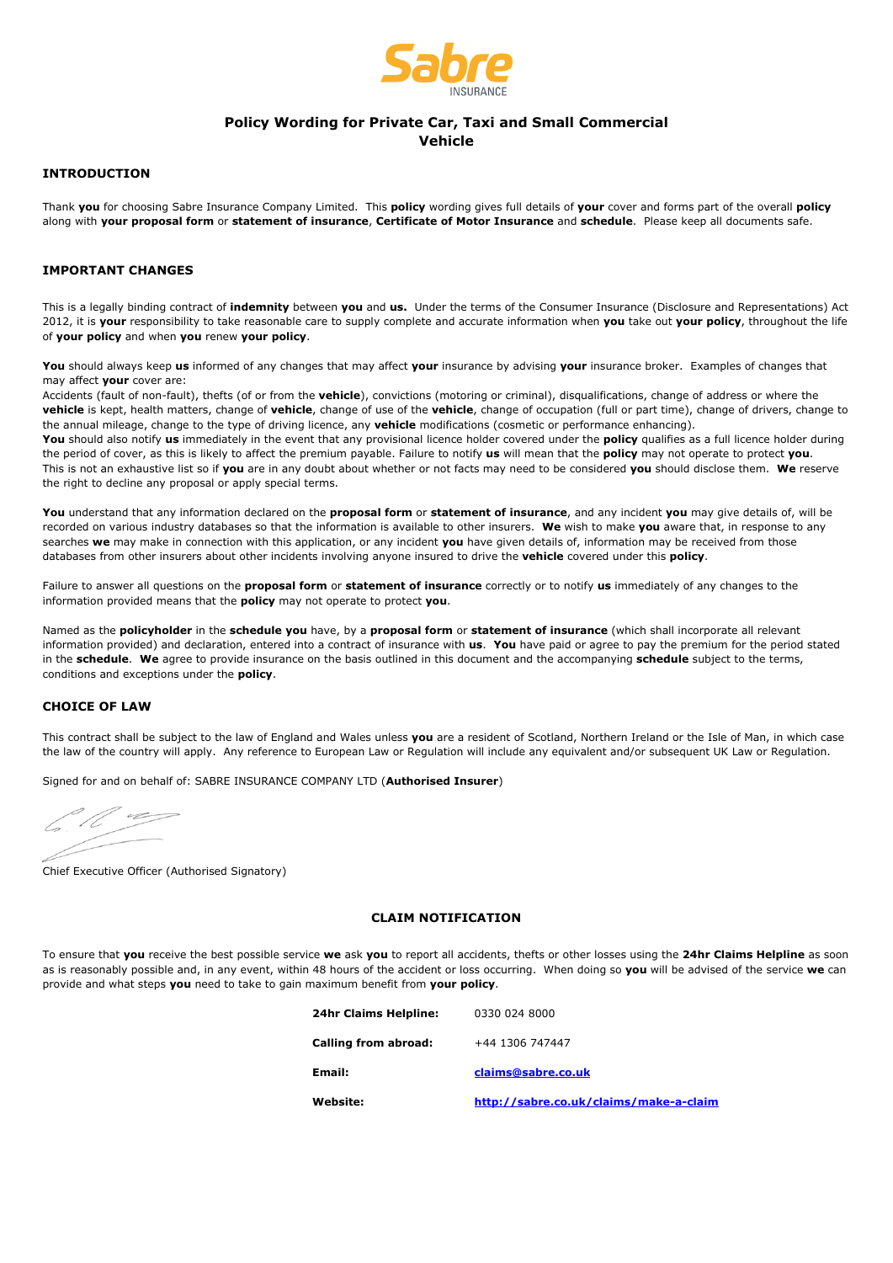

# **Policy Wording for Private Car, Taxi and Small Commercial**

**Vehicle** 

## **INTRODUCTION**

Thank **you** for choosing Sabre Insurance Company Limited. This **policy** wording gives full details of **your** cover and forms part of the overall **policy** along with **your proposal form** or **statement of insurance**, **Certificate of Motor Insurance** and **schedule**. Please keep all documents safe.

## **IMPORTANT CHANGES**

This is a legally binding contract of **indemnity** between **you** and **us.** Under the terms of the Consumer Insurance (Disclosure and Representations) Act 2012, it is **your** responsibility to take reasonable care to supply complete and accurate information when **you** take out **your policy**, throughout the life of **your policy** and when **you** renew **your policy**.

**You** should always keep **us** informed of any changes that may affect **your** insurance by advising **your** insurance broker. Examples of changes that may affect **your** cover are:

Accidents (fault of non-fault), thefts (of or from the **vehicle**), convictions (motoring or criminal), disqualifications, change of address or where the **vehicle** is kept, health matters, change of **vehicle**, change of use of the **vehicle**, change of occupation (full or part time), change of drivers, change to the annual mileage, change to the type of driving licence, any **vehicle** modifications (cosmetic or performance enhancing).

**You** should also notify **us** immediately in the event that any provisional licence holder covered under the **policy** qualifies as a full licence holder during the period of cover, as this is likely to affect the premium payable. Failure to notify **us** will mean that the **policy** may not operate to protect **you**. This is not an exhaustive list so if **you** are in any doubt about whether or not facts may need to be considered **you** should disclose them. **We** reserve the right to decline any proposal or apply special terms.

**You** understand that any information declared on the **proposal form** or **statement of insurance**, and any incident **you** may give details of, will be recorded on various industry databases so that the information is available to other insurers. **We** wish to make **you** aware that, in response to any searches **we** may make in connection with this application, or any incident **you** have given details of, information may be received from those databases from other insurers about other incidents involving anyone insured to drive the **vehicle** covered under this **policy**.

Failure to answer all questions on the **proposal form** or **statement of insurance** correctly or to notify **us** immediately of any changes to the information provided means that the **policy** may not operate to protect **you**.

Named as the **policyholder** in the **schedule you** have, by a **proposal form** or **statement of insurance** (which shall incorporate all relevant information provided) and declaration, entered into a contract of insurance with **us**. **You** have paid or agree to pay the premium for the period stated in the **schedule**. **We** agree to provide insurance on the basis outlined in this document and the accompanying **schedule** subject to the terms, conditions and exceptions under the **policy**.

## **CHOICE OF LAW**

This contract shall be subject to the law of England and Wales unless **you** are a resident of Scotland, Northern Ireland or the Isle of Man, in which case the law of the country will apply. Any reference to European Law or Regulation will include any equivalent and/or subsequent UK Law or Regulation.

Signed for and on behalf of: SABRE INSURANCE COMPANY LTD (**Authorised Insurer**)

 $\overline{\phantom{a}}$ 

Chief Executive Officer (Authorised Signatory)

## **CLAIM NOTIFICATION**

To ensure that **you** receive the best possible service **we** ask **you** to report all accidents, thefts or other losses using the **24hr Claims Helpline** as soon as is reasonably possible and, in any event, within 48 hours of the accident or loss occurring. When doing so **you** will be advised of the service **we** can provide and what steps **you** need to take to gain maximum benefit from **your policy**.

| 24hr Claims Helpline: | 0330 024 8000                          |
|-----------------------|----------------------------------------|
| Calling from abroad:  | +44 1306 747447                        |
| Email:                | claims@sabre.co.uk                     |
| Website:              | http://sabre.co.uk/claims/make-a-claim |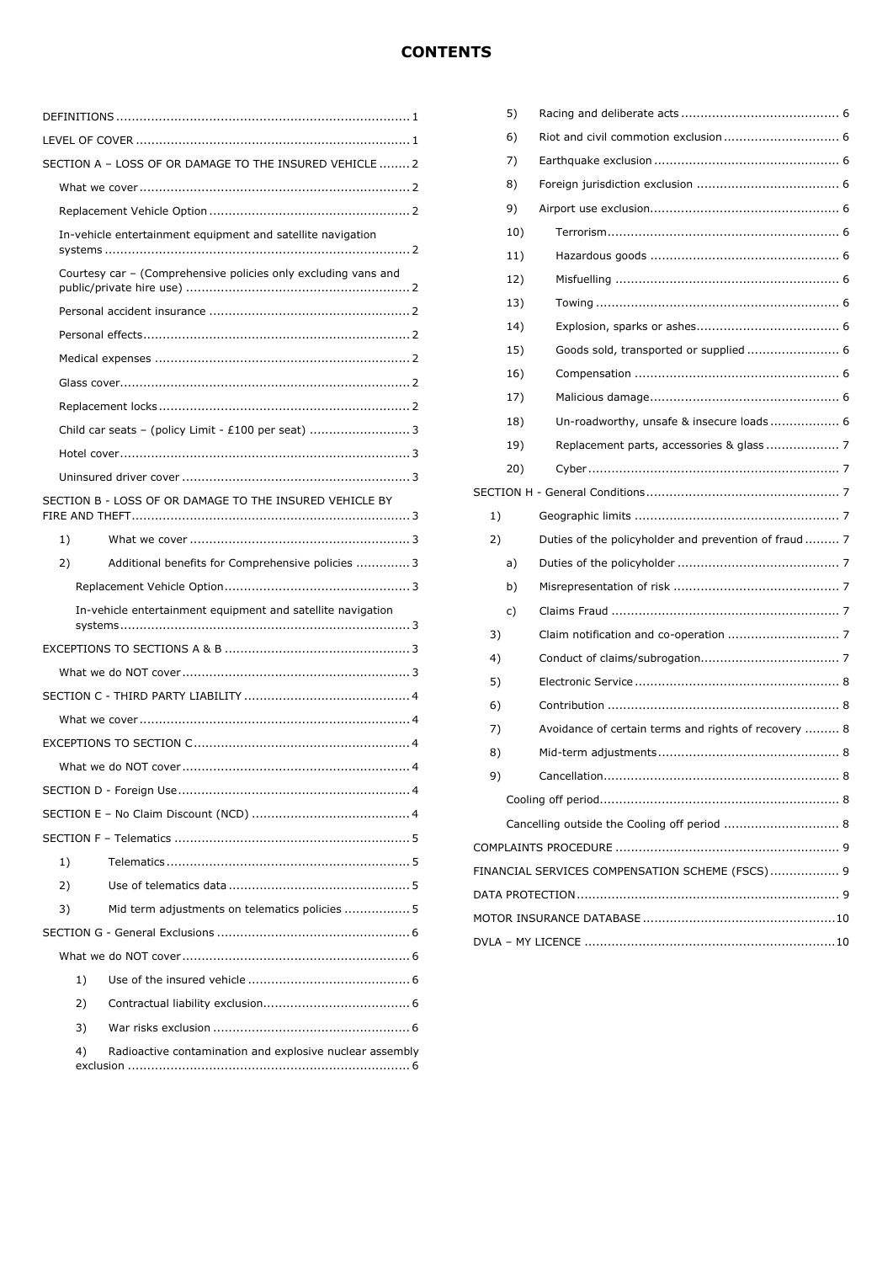## **CONTENTS**

| SECTION A - LOSS OF OR DAMAGE TO THE INSURED VEHICLE  2        |
|----------------------------------------------------------------|
|                                                                |
|                                                                |
| In-vehicle entertainment equipment and satellite navigation    |
| Courtesy car - (Comprehensive policies only excluding vans and |
|                                                                |
|                                                                |
|                                                                |
|                                                                |
|                                                                |
| Child car seats - (policy Limit - £100 per seat)  3            |
|                                                                |
|                                                                |
| SECTION B - LOSS OF OR DAMAGE TO THE INSURED VEHICLE BY        |
| 1)                                                             |
| Additional benefits for Comprehensive policies  3<br>2)        |
|                                                                |
| In-vehicle entertainment equipment and satellite navigation    |
|                                                                |
|                                                                |
|                                                                |
|                                                                |
|                                                                |
|                                                                |
|                                                                |
|                                                                |
|                                                                |
| 1)                                                             |
|                                                                |
| 2)                                                             |
| 3)<br>Mid term adjustments on telematics policies  5           |
|                                                                |
|                                                                |
| 1)                                                             |
| 2)                                                             |
| 3)                                                             |

|                                                 | 5)  |                                                      |  |  |  |
|-------------------------------------------------|-----|------------------------------------------------------|--|--|--|
|                                                 | 6)  |                                                      |  |  |  |
|                                                 | 7)  |                                                      |  |  |  |
|                                                 | 8)  |                                                      |  |  |  |
|                                                 | 9)  |                                                      |  |  |  |
|                                                 | 10) |                                                      |  |  |  |
|                                                 | 11) |                                                      |  |  |  |
|                                                 | 12) |                                                      |  |  |  |
|                                                 | 13) |                                                      |  |  |  |
|                                                 | 14) |                                                      |  |  |  |
|                                                 | 15) |                                                      |  |  |  |
|                                                 | 16) |                                                      |  |  |  |
|                                                 | 17) |                                                      |  |  |  |
|                                                 | 18) | Un-roadworthy, unsafe & insecure loads  6            |  |  |  |
|                                                 | 19) | Replacement parts, accessories & glass  7            |  |  |  |
|                                                 | 20) |                                                      |  |  |  |
|                                                 |     |                                                      |  |  |  |
| 1)                                              |     |                                                      |  |  |  |
| 2)                                              |     |                                                      |  |  |  |
|                                                 | a)  |                                                      |  |  |  |
|                                                 | b)  |                                                      |  |  |  |
|                                                 | c)  |                                                      |  |  |  |
| 3)                                              |     |                                                      |  |  |  |
| 4)                                              |     |                                                      |  |  |  |
| 5)                                              |     |                                                      |  |  |  |
| 6)                                              |     |                                                      |  |  |  |
| 7)                                              |     | Avoidance of certain terms and rights of recovery  8 |  |  |  |
| 8)                                              |     |                                                      |  |  |  |
| 9)                                              |     | 8                                                    |  |  |  |
|                                                 |     |                                                      |  |  |  |
|                                                 |     | Cancelling outside the Cooling off period  8         |  |  |  |
|                                                 |     |                                                      |  |  |  |
| FINANCIAL SERVICES COMPENSATION SCHEME (FSCS) 9 |     |                                                      |  |  |  |
|                                                 |     |                                                      |  |  |  |
|                                                 |     |                                                      |  |  |  |
|                                                 |     |                                                      |  |  |  |
|                                                 |     |                                                      |  |  |  |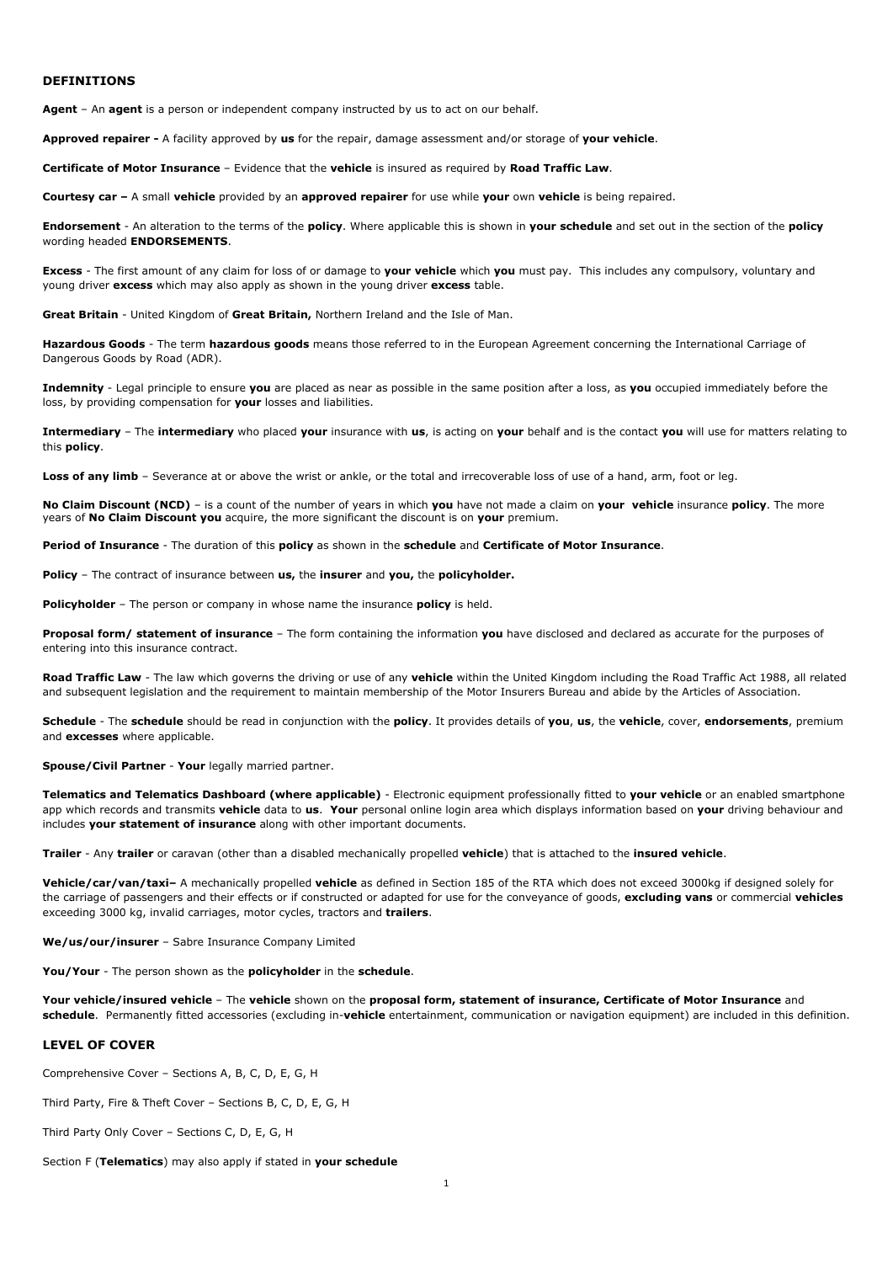#### **DEFINITIONS**

**Agent** – An **agent** is a person or independent company instructed by us to act on our behalf.

**Approved repairer -** A facility approved by **us** for the repair, damage assessment and/or storage of **your vehicle**.

**Certificate of Motor Insurance** – Evidence that the **vehicle** is insured as required by **Road Traffic Law**.

**Courtesy car –** A small **vehicle** provided by an **approved repairer** for use while **your** own **vehicle** is being repaired.

**Endorsement** - An alteration to the terms of the **policy**. Where applicable this is shown in **your schedule** and set out in the section of the **policy** wording headed **ENDORSEMENTS**.

**Excess** - The first amount of any claim for loss of or damage to **your vehicle** which **you** must pay. This includes any compulsory, voluntary and young driver **excess** which may also apply as shown in the young driver **excess** table.

**Great Britain** - United Kingdom of **Great Britain,** Northern Ireland and the Isle of Man.

**Hazardous Goods** - The term **hazardous goods** means those referred to in the European Agreement concerning the International Carriage of Dangerous Goods by Road (ADR).

**Indemnity** - Legal principle to ensure **you** are placed as near as possible in the same position after a loss, as **you** occupied immediately before the loss, by providing compensation for **your** losses and liabilities.

**Intermediary** – The **intermediary** who placed **your** insurance with **us**, is acting on **your** behalf and is the contact **you** will use for matters relating to this **policy**.

Loss of any limb – Severance at or above the wrist or ankle, or the total and irrecoverable loss of use of a hand, arm, foot or leg.

**No Claim Discount (NCD)** – is a count of the number of years in which **you** have not made a claim on **your vehicle** insurance **policy**. The more years of **No Claim Discount you** acquire, the more significant the discount is on **your** premium.

**Period of Insurance** - The duration of this **policy** as shown in the **schedule** and **Certificate of Motor Insurance**.

**Policy** – The contract of insurance between **us,** the **insurer** and **you,** the **policyholder.**

**Policyholder** – The person or company in whose name the insurance **policy** is held.

**Proposal form/ statement of insurance** – The form containing the information **you** have disclosed and declared as accurate for the purposes of entering into this insurance contract.

**Road Traffic Law** - The law which governs the driving or use of any **vehicle** within the United Kingdom including the Road Traffic Act 1988, all related and subsequent legislation and the requirement to maintain membership of the Motor Insurers Bureau and abide by the Articles of Association.

**Schedule** - The **schedule** should be read in conjunction with the **policy**. It provides details of **you**, **us**, the **vehicle**, cover, **endorsements**, premium and **excesses** where applicable.

**Spouse/Civil Partner** - **Your** legally married partner.

**Telematics and Telematics Dashboard (where applicable)** - Electronic equipment professionally fitted to **your vehicle** or an enabled smartphone app which records and transmits **vehicle** data to **us**. **Your** personal online login area which displays information based on **your** driving behaviour and includes **your statement of insurance** along with other important documents.

**Trailer** - Any **trailer** or caravan (other than a disabled mechanically propelled **vehicle**) that is attached to the **insured vehicle**.

**Vehicle/car/van/taxi–** A mechanically propelled **vehicle** as defined in Section 185 of the RTA which does not exceed 3000kg if designed solely for the carriage of passengers and their effects or if constructed or adapted for use for the conveyance of goods, **excluding vans** or commercial **vehicles** exceeding 3000 kg, invalid carriages, motor cycles, tractors and **trailers**.

**We/us/our/insurer** – Sabre Insurance Company Limited

**You/Your** - The person shown as the **policyholder** in the **schedule**.

**Your vehicle/insured vehicle** – The **vehicle** shown on the **proposal form, statement of insurance, Certificate of Motor Insurance** and **schedule**. Permanently fitted accessories (excluding in-**vehicle** entertainment, communication or navigation equipment) are included in this definition.

## **LEVEL OF COVER**

Comprehensive Cover – Sections A, B, C, D, E, G, H

Third Party, Fire & Theft Cover – Sections B, C, D, E, G, H

Third Party Only Cover – Sections C, D, E, G, H

Section F (**Telematics**) may also apply if stated in **your schedule**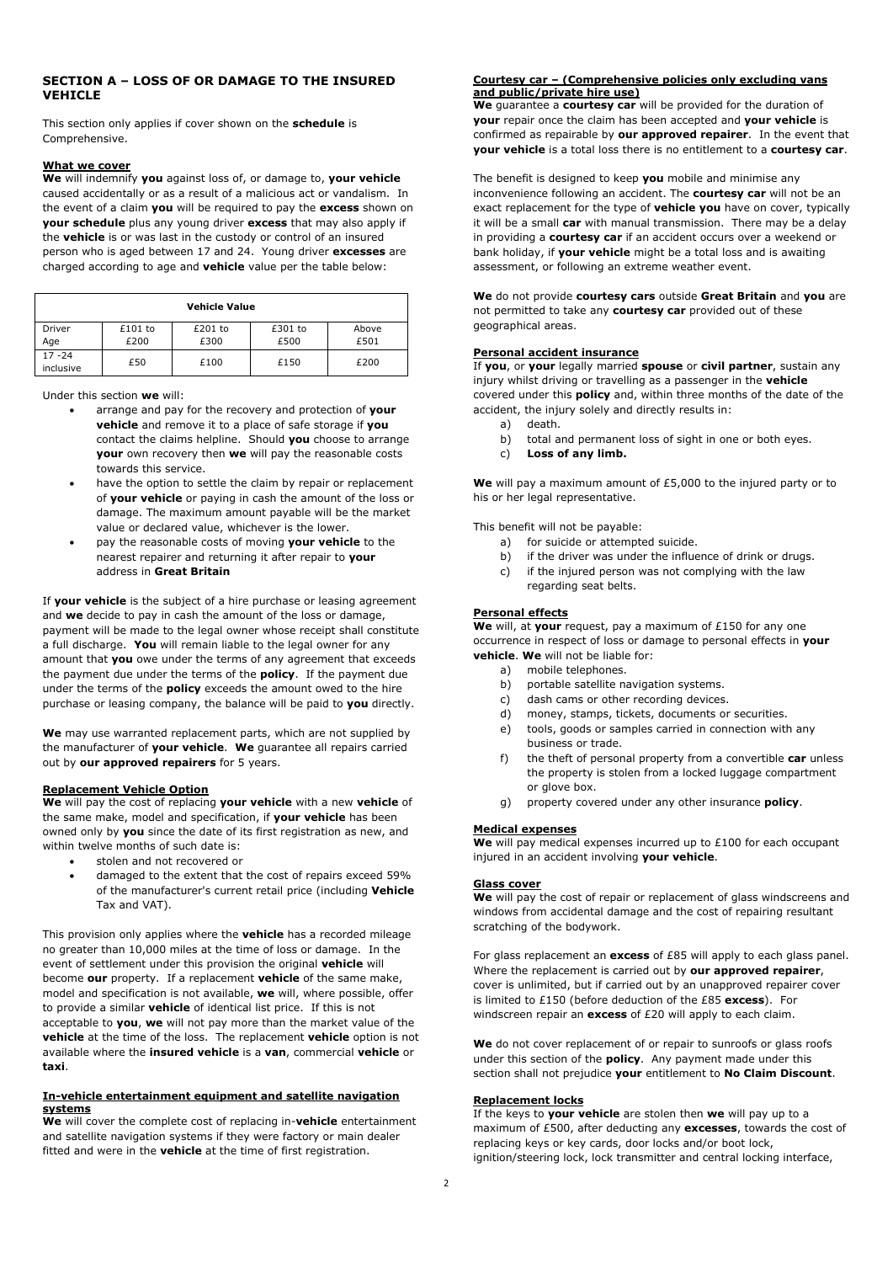## **SECTION A – LOSS OF OR DAMAGE TO THE INSURED VEHICLE**

This section only applies if cover shown on the **schedule** is Comprehensive.

#### **What we cover**

**We** will indemnify **you** against loss of, or damage to, **your vehicle** caused accidentally or as a result of a malicious act or vandalism. In the event of a claim **you** will be required to pay the **excess** shown on **your schedule** plus any young driver **excess** that may also apply if the **vehicle** is or was last in the custody or control of an insured person who is aged between 17 and 24. Young driver **excesses** are charged according to age and **vehicle** value per the table below:

| <b>Vehicle Value</b>   |         |         |         |       |
|------------------------|---------|---------|---------|-------|
| Driver                 | £101 to | £201 to | £301 to | Above |
| Age                    | £200    | £300    | £500    | £501  |
| $17 - 24$<br>inclusive | £50     | £100    | £150    | £200  |

Under this section **we** will:

- arrange and pay for the recovery and protection of **your vehicle** and remove it to a place of safe storage if **you** contact the claims helpline. Should **you** choose to arrange **your** own recovery then **we** will pay the reasonable costs towards this service.
- have the option to settle the claim by repair or replacement of **your vehicle** or paying in cash the amount of the loss or damage. The maximum amount payable will be the market value or declared value, whichever is the lower.
- pay the reasonable costs of moving **your vehicle** to the nearest repairer and returning it after repair to **your** address in **Great Britain**

If **your vehicle** is the subject of a hire purchase or leasing agreement and **we** decide to pay in cash the amount of the loss or damage, payment will be made to the legal owner whose receipt shall constitute a full discharge. **You** will remain liable to the legal owner for any amount that **you** owe under the terms of any agreement that exceeds the payment due under the terms of the **policy**. If the payment due under the terms of the **policy** exceeds the amount owed to the hire purchase or leasing company, the balance will be paid to **you** directly.

**We** may use warranted replacement parts, which are not supplied by the manufacturer of **your vehicle**. **We** guarantee all repairs carried out by **our approved repairers** for 5 years.

#### **Replacement Vehicle Option**

**We** will pay the cost of replacing **your vehicle** with a new **vehicle** of the same make, model and specification, if **your vehicle** has been owned only by **you** since the date of its first registration as new, and within twelve months of such date is:

- stolen and not recovered or
- damaged to the extent that the cost of repairs exceed 59% of the manufacturer's current retail price (including **Vehicle** Tax and VAT).

This provision only applies where the **vehicle** has a recorded mileage no greater than 10,000 miles at the time of loss or damage. In the event of settlement under this provision the original **vehicle** will become **our** property. If a replacement **vehicle** of the same make, model and specification is not available, **we** will, where possible, offer to provide a similar **vehicle** of identical list price. If this is not acceptable to **you**, **we** will not pay more than the market value of the **vehicle** at the time of the loss. The replacement **vehicle** option is not available where the **insured vehicle** is a **van**, commercial **vehicle** or **taxi**.

#### **In-vehicle entertainment equipment and satellite navigation systems**

**We** will cover the complete cost of replacing in-**vehicle** entertainment and satellite navigation systems if they were factory or main dealer fitted and were in the **vehicle** at the time of first registration.

#### **Courtesy car – (Comprehensive policies only excluding vans and public/private hire use)**

**We** guarantee a **courtesy car** will be provided for the duration of **your** repair once the claim has been accepted and **your vehicle** is confirmed as repairable by **our approved repairer**. In the event that **your vehicle** is a total loss there is no entitlement to a **courtesy car**.

The benefit is designed to keep **you** mobile and minimise any inconvenience following an accident. The **courtesy car** will not be an exact replacement for the type of **vehicle you** have on cover, typically it will be a small **car** with manual transmission. There may be a delay in providing a **courtesy car** if an accident occurs over a weekend or bank holiday, if **your vehicle** might be a total loss and is awaiting assessment, or following an extreme weather event.

**We** do not provide **courtesy cars** outside **Great Britain** and **you** are not permitted to take any **courtesy car** provided out of these geographical areas.

## **Personal accident insurance**

If **you**, or **your** legally married **spouse** or **civil partner**, sustain any injury whilst driving or travelling as a passenger in the **vehicle** covered under this **policy** and, within three months of the date of the accident, the injury solely and directly results in:

- a) death.
- b) total and permanent loss of sight in one or both eyes.
- c) **Loss of any limb.**

**We** will pay a maximum amount of £5,000 to the injured party or to his or her legal representative.

This benefit will not be payable:

- a) for suicide or attempted suicide.
- b) if the driver was under the influence of drink or drugs.
- c) if the injured person was not complying with the law regarding seat belts.

#### **Personal effects**

**We** will, at **your** request, pay a maximum of £150 for any one occurrence in respect of loss or damage to personal effects in **your vehicle**. **We** will not be liable for:

- a) mobile telephones.
- b) portable satellite navigation systems.
- c) dash cams or other recording devices.
- d) money, stamps, tickets, documents or securities.
- e) tools, goods or samples carried in connection with any business or trade.
- f) the theft of personal property from a convertible **car** unless the property is stolen from a locked luggage compartment or glove box.
- g) property covered under any other insurance **policy**.

#### **Medical expenses**

**We** will pay medical expenses incurred up to £100 for each occupant injured in an accident involving **your vehicle**.

#### **Glass cover**

**We** will pay the cost of repair or replacement of glass windscreens and windows from accidental damage and the cost of repairing resultant scratching of the bodywork.

For glass replacement an **excess** of £85 will apply to each glass panel. Where the replacement is carried out by **our approved repairer**, cover is unlimited, but if carried out by an unapproved repairer cover is limited to £150 (before deduction of the £85 **excess**). For windscreen repair an **excess** of £20 will apply to each claim.

We do not cover replacement of or repair to sunroofs or glass roofs under this section of the **policy**. Any payment made under this section shall not prejudice **your** entitlement to **No Claim Discount**.

#### **Replacement locks**

If the keys to **your vehicle** are stolen then **we** will pay up to a maximum of £500, after deducting any **excesses**, towards the cost of replacing keys or key cards, door locks and/or boot lock, ignition/steering lock, lock transmitter and central locking interface,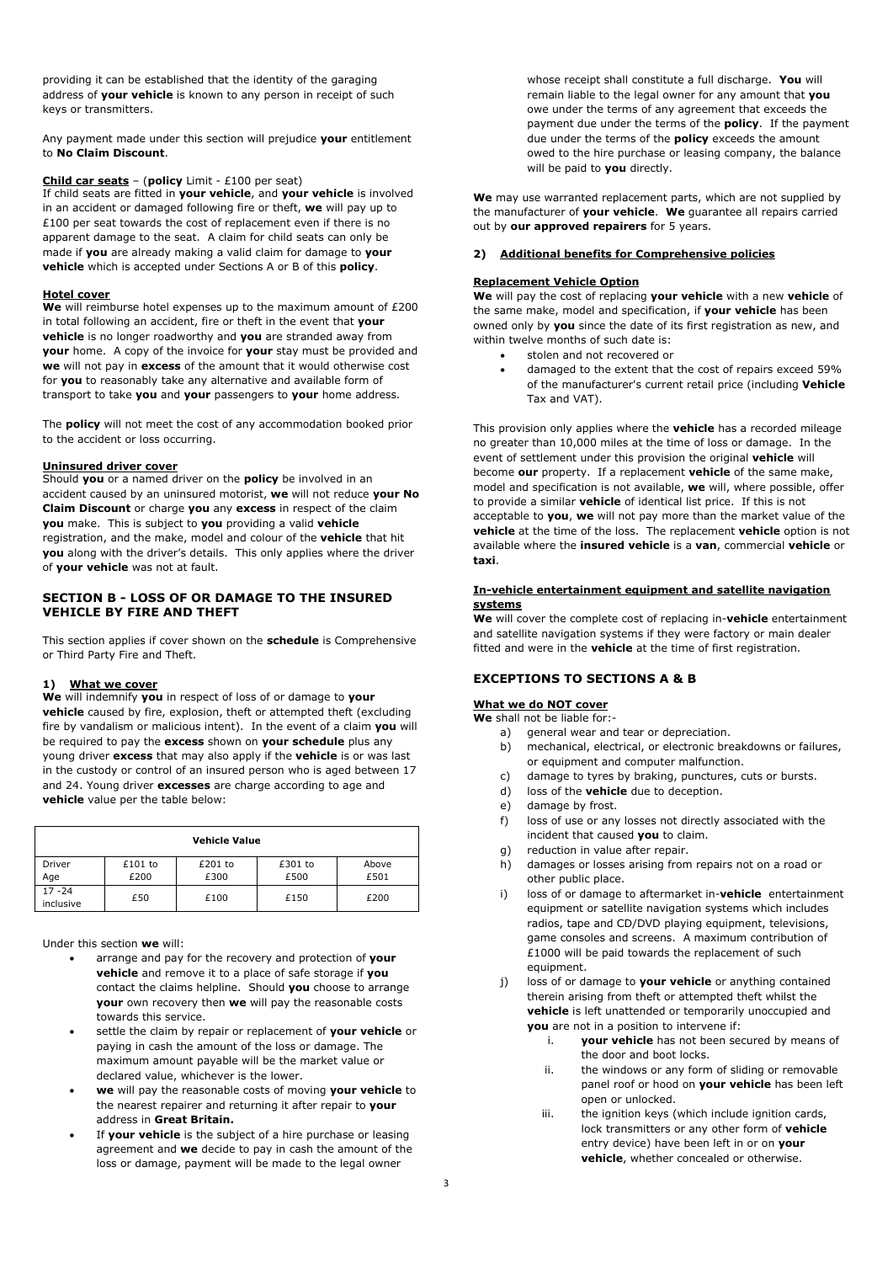providing it can be established that the identity of the garaging address of **your vehicle** is known to any person in receipt of such keys or transmitters.

Any payment made under this section will prejudice **your** entitlement to **No Claim Discount**.

#### **Child car seats** – (**policy** Limit - £100 per seat)

If child seats are fitted in **your vehicle**, and **your vehicle** is involved in an accident or damaged following fire or theft, **we** will pay up to £100 per seat towards the cost of replacement even if there is no apparent damage to the seat. A claim for child seats can only be made if **you** are already making a valid claim for damage to **your vehicle** which is accepted under Sections A or B of this **policy**.

#### **Hotel cover**

**We** will reimburse hotel expenses up to the maximum amount of £200 in total following an accident, fire or theft in the event that **your vehicle** is no longer roadworthy and **you** are stranded away from **your** home. A copy of the invoice for **your** stay must be provided and **we** will not pay in **excess** of the amount that it would otherwise cost for **you** to reasonably take any alternative and available form of transport to take **you** and **your** passengers to **your** home address.

The **policy** will not meet the cost of any accommodation booked prior to the accident or loss occurring.

#### **Uninsured driver cover**

Should **you** or a named driver on the **policy** be involved in an accident caused by an uninsured motorist, **we** will not reduce **your No Claim Discount** or charge **you** any **excess** in respect of the claim **you** make. This is subject to **you** providing a valid **vehicle** registration, and the make, model and colour of the **vehicle** that hit **you** along with the driver's details. This only applies where the driver of **your vehicle** was not at fault.

## **SECTION B - LOSS OF OR DAMAGE TO THE INSURED VEHICLE BY FIRE AND THEFT**

This section applies if cover shown on the **schedule** is Comprehensive or Third Party Fire and Theft.

#### **1) What we cover**

**We** will indemnify **you** in respect of loss of or damage to **your vehicle** caused by fire, explosion, theft or attempted theft (excluding fire by vandalism or malicious intent). In the event of a claim **you** will be required to pay the **excess** shown on **your schedule** plus any young driver **excess** that may also apply if the **vehicle** is or was last in the custody or control of an insured person who is aged between 17 and 24. Young driver **excesses** are charge according to age and **vehicle** value per the table below:

| <b>Vehicle Value</b>   |                   |                 |                 |               |
|------------------------|-------------------|-----------------|-----------------|---------------|
| Driver<br>Age          | $£101$ to<br>£200 | £201 to<br>£300 | £301 to<br>£500 | Above<br>£501 |
| $17 - 24$<br>inclusive | £50               | £100            | £150            | £200          |

Under this section **we** will:

- arrange and pay for the recovery and protection of **your vehicle** and remove it to a place of safe storage if **you** contact the claims helpline. Should **you** choose to arrange **your** own recovery then **we** will pay the reasonable costs towards this service.
- settle the claim by repair or replacement of **your vehicle** or paying in cash the amount of the loss or damage. The maximum amount payable will be the market value or declared value, whichever is the lower.
- **we** will pay the reasonable costs of moving **your vehicle** to the nearest repairer and returning it after repair to **your** address in **Great Britain.**
- If **your vehicle** is the subject of a hire purchase or leasing agreement and **we** decide to pay in cash the amount of the loss or damage, payment will be made to the legal owner

whose receipt shall constitute a full discharge. **You** will remain liable to the legal owner for any amount that **you** owe under the terms of any agreement that exceeds the payment due under the terms of the **policy**. If the payment due under the terms of the **policy** exceeds the amount owed to the hire purchase or leasing company, the balance will be paid to **you** directly.

**We** may use warranted replacement parts, which are not supplied by the manufacturer of **your vehicle**. **We** guarantee all repairs carried out by **our approved repairers** for 5 years.

## **2) Additional benefits for Comprehensive policies**

#### **Replacement Vehicle Option**

**We** will pay the cost of replacing **your vehicle** with a new **vehicle** of the same make, model and specification, if **your vehicle** has been owned only by **you** since the date of its first registration as new, and within twelve months of such date is:

- stolen and not recovered or
	- damaged to the extent that the cost of repairs exceed 59% of the manufacturer's current retail price (including **Vehicle** Tax and VAT).

This provision only applies where the **vehicle** has a recorded mileage no greater than 10,000 miles at the time of loss or damage. In the event of settlement under this provision the original **vehicle** will become **our** property. If a replacement **vehicle** of the same make, model and specification is not available, **we** will, where possible, offer to provide a similar **vehicle** of identical list price. If this is not acceptable to **you**, **we** will not pay more than the market value of the **vehicle** at the time of the loss. The replacement **vehicle** option is not available where the **insured vehicle** is a **van**, commercial **vehicle** or **taxi**.

#### **In-vehicle entertainment equipment and satellite navigation systems**

**We** will cover the complete cost of replacing in-**vehicle** entertainment and satellite navigation systems if they were factory or main dealer fitted and were in the **vehicle** at the time of first registration.

## **EXCEPTIONS TO SECTIONS A & B**

#### **What we do NOT cover**

**We** shall not be liable for:-

- a) general wear and tear or depreciation.
- b) mechanical, electrical, or electronic breakdowns or failures, or equipment and computer malfunction.
- c) damage to tyres by braking, punctures, cuts or bursts.
- d) loss of the **vehicle** due to deception.
- e) damage by frost.
- f) loss of use or any losses not directly associated with the incident that caused **you** to claim.
- g) reduction in value after repair.
- h) damages or losses arising from repairs not on a road or other public place.
- i) loss of or damage to aftermarket in-**vehicle** entertainment equipment or satellite navigation systems which includes radios, tape and CD/DVD playing equipment, televisions, game consoles and screens. A maximum contribution of £1000 will be paid towards the replacement of such equipment.
- j) loss of or damage to **your vehicle** or anything contained therein arising from theft or attempted theft whilst the **vehicle** is left unattended or temporarily unoccupied and **you** are not in a position to intervene if:
	- i. **your vehicle** has not been secured by means of the door and boot locks.
	- ii. the windows or any form of sliding or removable panel roof or hood on **your vehicle** has been left open or unlocked.
	- iii. the ignition keys (which include ignition cards, lock transmitters or any other form of **vehicle** entry device) have been left in or on **your vehicle**, whether concealed or otherwise.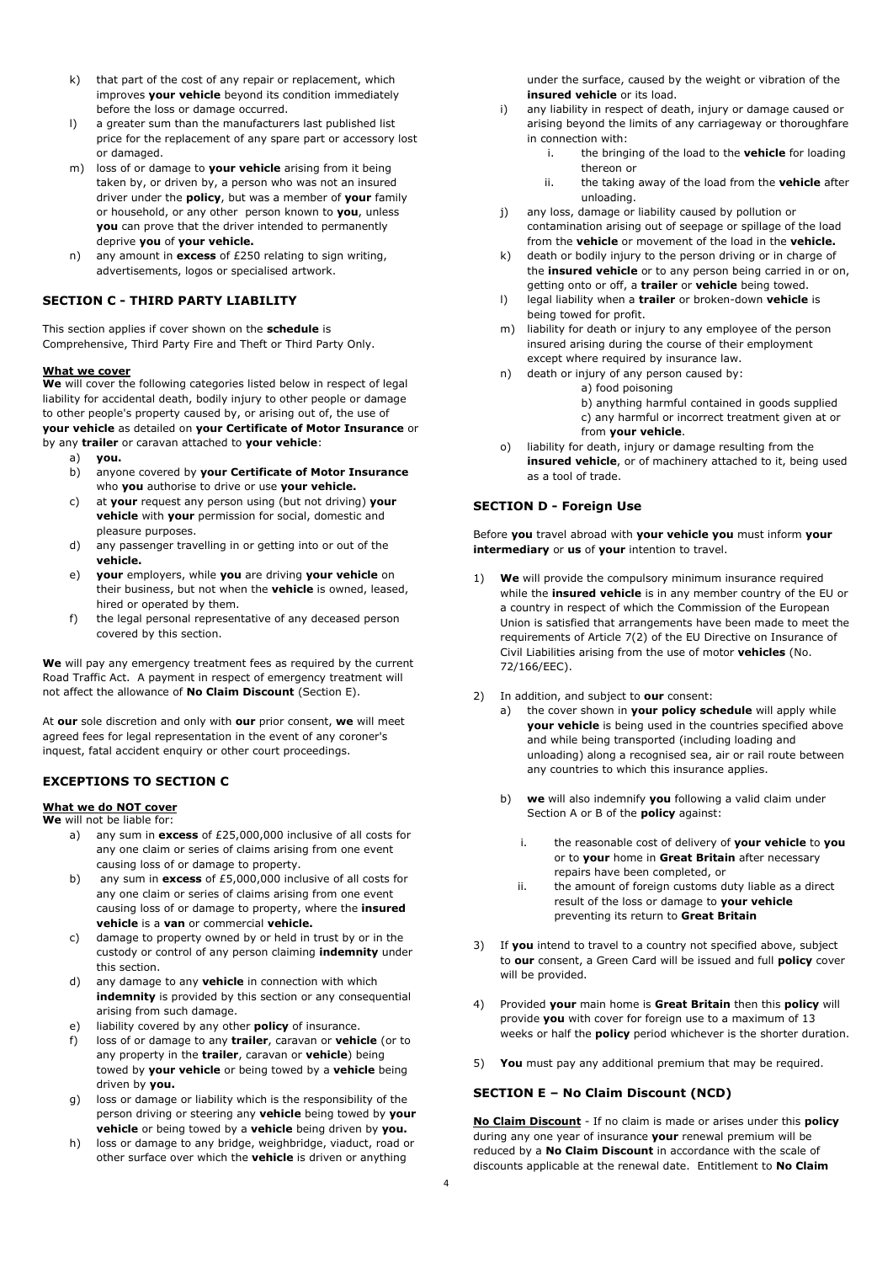- k) that part of the cost of any repair or replacement, which improves **your vehicle** beyond its condition immediately before the loss or damage occurred.
- l) a greater sum than the manufacturers last published list price for the replacement of any spare part or accessory lost or damaged.
- m) loss of or damage to **your vehicle** arising from it being taken by, or driven by, a person who was not an insured driver under the **policy**, but was a member of **your** family or household, or any other person known to **you**, unless **you** can prove that the driver intended to permanently deprive **you** of **your vehicle.**
- n) any amount in **excess** of £250 relating to sign writing, advertisements, logos or specialised artwork.

## **SECTION C - THIRD PARTY LIABILITY**

This section applies if cover shown on the **schedule** is Comprehensive, Third Party Fire and Theft or Third Party Only.

#### **What we cover**

**We** will cover the following categories listed below in respect of legal liability for accidental death, bodily injury to other people or damage to other people's property caused by, or arising out of, the use of **your vehicle** as detailed on **your Certificate of Motor Insurance** or by any **trailer** or caravan attached to **your vehicle**:

- a) **you.**
- b) anyone covered by **your Certificate of Motor Insurance** who **you** authorise to drive or use **your vehicle.**
- c) at **your** request any person using (but not driving) **your vehicle** with **your** permission for social, domestic and pleasure purposes.
- d) any passenger travelling in or getting into or out of the **vehicle.**
- e) **your** employers, while **you** are driving **your vehicle** on their business, but not when the **vehicle** is owned, leased, hired or operated by them.
- f) the legal personal representative of any deceased person covered by this section.

**We** will pay any emergency treatment fees as required by the current Road Traffic Act. A payment in respect of emergency treatment will not affect the allowance of **No Claim Discount** (Section E).

At **our** sole discretion and only with **our** prior consent, **we** will meet agreed fees for legal representation in the event of any coroner's inquest, fatal accident enquiry or other court proceedings.

## **EXCEPTIONS TO SECTION C**

## **What we do NOT cover**

**We** will not be liable for: a) any sum in **excess** of £25,000,000 inclusive of all costs for

- any one claim or series of claims arising from one event causing loss of or damage to property.
- b) any sum in **excess** of £5,000,000 inclusive of all costs for any one claim or series of claims arising from one event causing loss of or damage to property, where the **insured vehicle** is a **van** or commercial **vehicle.**
- c) damage to property owned by or held in trust by or in the custody or control of any person claiming **indemnity** under this section.
- d) any damage to any **vehicle** in connection with which **indemnity** is provided by this section or any consequential arising from such damage.
- liability covered by any other **policy** of insurance.
- loss of or damage to any **trailer**, caravan or **vehicle** (or to any property in the **trailer**, caravan or **vehicle**) being towed by **your vehicle** or being towed by a **vehicle** being driven by **you.**
- g) loss or damage or liability which is the responsibility of the person driving or steering any **vehicle** being towed by **your vehicle** or being towed by a **vehicle** being driven by **you.**
- h) loss or damage to any bridge, weighbridge, viaduct, road or other surface over which the **vehicle** is driven or anything

under the surface, caused by the weight or vibration of the **insured vehicle** or its load.

- i) any liability in respect of death, injury or damage caused or arising beyond the limits of any carriageway or thoroughfare in connection with:
	- i. the bringing of the load to the **vehicle** for loading thereon or
	- ii. the taking away of the load from the **vehicle** after unloading.
- j) any loss, damage or liability caused by pollution or contamination arising out of seepage or spillage of the load from the **vehicle** or movement of the load in the **vehicle.**
- k) death or bodily injury to the person driving or in charge of the **insured vehicle** or to any person being carried in or on, getting onto or off, a **trailer** or **vehicle** being towed.
- l) legal liability when a **trailer** or broken-down **vehicle** is being towed for profit.
- m) liability for death or injury to any employee of the person insured arising during the course of their employment except where required by insurance law.
- n) death or injury of any person caused by:
	- a) food poisoning
	- b) anything harmful contained in goods supplied c) any harmful or incorrect treatment given at or from **your vehicle**.
- o) liability for death, injury or damage resulting from the **insured vehicle**, or of machinery attached to it, being used as a tool of trade.

## **SECTION D - Foreign Use**

Before **you** travel abroad with **your vehicle you** must inform **your intermediary** or **us** of **your** intention to travel.

- 1) **We** will provide the compulsory minimum insurance required while the **insured vehicle** is in any member country of the EU or a country in respect of which the Commission of the European Union is satisfied that arrangements have been made to meet the requirements of Article 7(2) of the EU Directive on Insurance of Civil Liabilities arising from the use of motor **vehicles** (No. 72/166/EEC).
- 2) In addition, and subject to **our** consent:
	- a) the cover shown in **your policy schedule** will apply while **your vehicle** is being used in the countries specified above and while being transported (including loading and unloading) along a recognised sea, air or rail route between any countries to which this insurance applies.
	- b) **we** will also indemnify **you** following a valid claim under Section A or B of the **policy** against:
		- i. the reasonable cost of delivery of **your vehicle** to **you** or to **your** home in **Great Britain** after necessary repairs have been completed, or
		- ii. the amount of foreign customs duty liable as a direct result of the loss or damage to **your vehicle**  preventing its return to **Great Britain**
- 3) If **you** intend to travel to a country not specified above, subject to **our** consent, a Green Card will be issued and full **policy** cover will be provided.
- 4) Provided **your** main home is **Great Britain** then this **policy** will provide **you** with cover for foreign use to a maximum of 13 weeks or half the **policy** period whichever is the shorter duration.
- 5) **You** must pay any additional premium that may be required.

## **SECTION E – No Claim Discount (NCD)**

**No Claim Discount** - If no claim is made or arises under this **policy** during any one year of insurance **your** renewal premium will be reduced by a **No Claim Discount** in accordance with the scale of discounts applicable at the renewal date. Entitlement to **No Claim**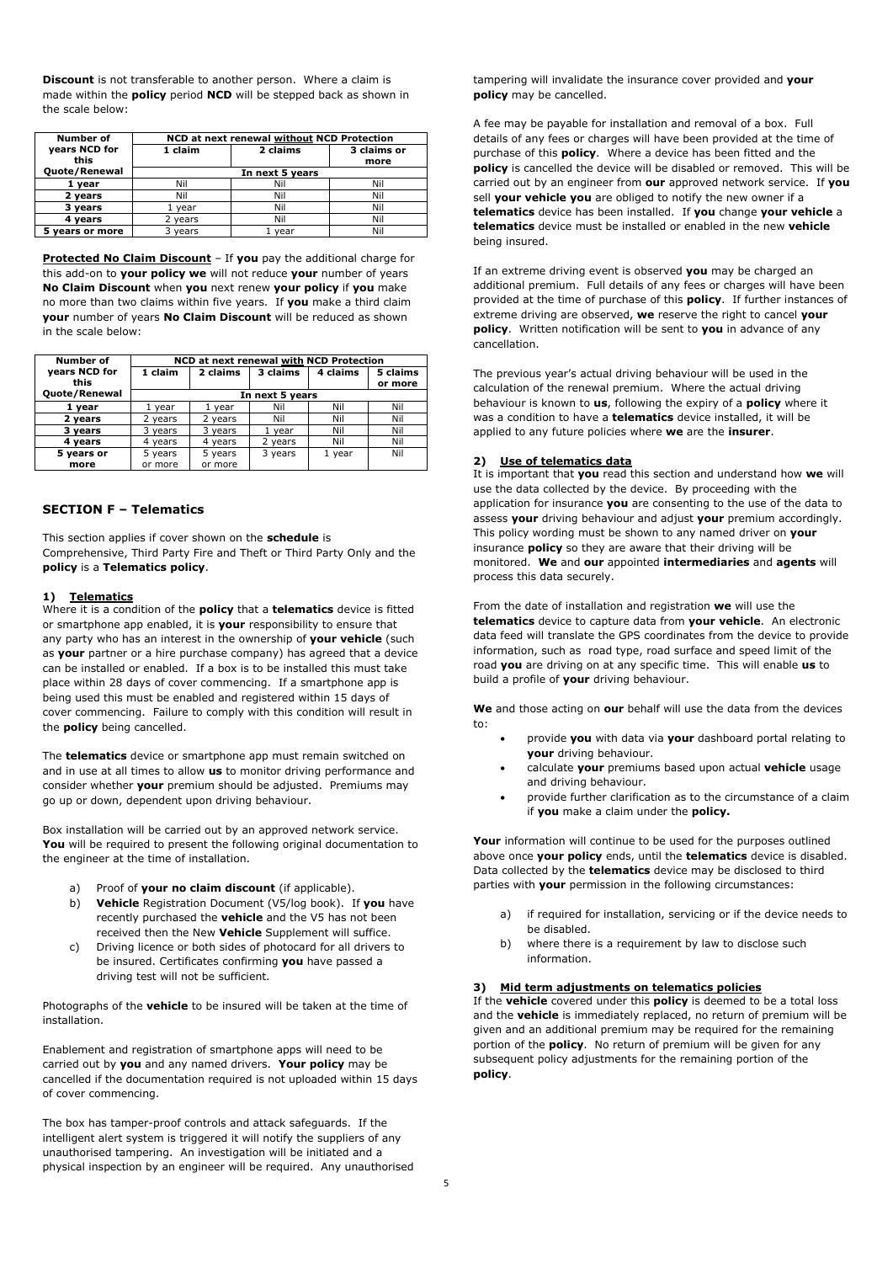**Discount** is not transferable to another person. Where a claim is made within the **policy** period **NCD** will be stepped back as shown in the scale below:

| <b>Number of</b> | NCD at next renewal without NCD Protection |          |             |  |
|------------------|--------------------------------------------|----------|-------------|--|
| years NCD for    | 1 claim                                    | 2 claims | 3 claims or |  |
| this             |                                            |          | more        |  |
| Quote/Renewal    | In next 5 years                            |          |             |  |
| 1 year           | Nil                                        | Nil      | Nil         |  |
| 2 vears          | Nil                                        | Nil      | Nil         |  |
| 3 years          | vear                                       | Nil      | Nil         |  |
| 4 vears          | 2 years                                    | Nil      | Nil         |  |
| 5 years or more  | 3 years                                    | vear     | Nil         |  |

**Protected No Claim Discount** – If **you** pay the additional charge for this add-on to **your policy we** will not reduce **your** number of years **No Claim Discount** when **you** next renew **your policy** if **you** make no more than two claims within five years. If **you** make a third claim **your** number of years **No Claim Discount** will be reduced as shown in the scale below:

| Number of     | NCD at next renewal with NCD Protection |          |          |          |          |
|---------------|-----------------------------------------|----------|----------|----------|----------|
| years NCD for | 1 claim                                 | 2 claims | 3 claims | 4 claims | 5 claims |
| this          |                                         |          |          |          | or more  |
| Quote/Renewal | In next 5 years                         |          |          |          |          |
| 1 vear        | 1 year                                  | vear     | Nil      | Nil      | Nil      |
| 2 years       | 2 years                                 | 2 years  | Nil      | Nil      | Nil      |
| 3 years       | 3 years                                 | 3 years  | 1 year   | Nil      | Nil      |
| 4 years       | 4 years                                 | 4 years  | 2 years  | Nil      | Nil      |
| 5 years or    | 5 years                                 | 5 years  | 3 years  | 1 year   | Nil      |
| more          | or more                                 | or more  |          |          |          |

## **SECTION F – Telematics**

This section applies if cover shown on the **schedule** is Comprehensive, Third Party Fire and Theft or Third Party Only and the **policy** is a **Telematics policy**.

#### **1) Telematics**

Where it is a condition of the **policy** that a **telematics** device is fitted or smartphone app enabled, it is **your** responsibility to ensure that any party who has an interest in the ownership of **your vehicle** (such as **your** partner or a hire purchase company) has agreed that a device can be installed or enabled. If a box is to be installed this must take place within 28 days of cover commencing. If a smartphone app is being used this must be enabled and registered within 15 days of cover commencing. Failure to comply with this condition will result in the **policy** being cancelled.

The **telematics** device or smartphone app must remain switched on and in use at all times to allow **us** to monitor driving performance and consider whether **your** premium should be adjusted. Premiums may go up or down, dependent upon driving behaviour.

Box installation will be carried out by an approved network service. **You** will be required to present the following original documentation to the engineer at the time of installation.

- a) Proof of **your no claim discount** (if applicable).
- b) **Vehicle** Registration Document (V5/log book). If **you** have recently purchased the **vehicle** and the V5 has not been received then the New **Vehicle** Supplement will suffice.
- c) Driving licence or both sides of photocard for all drivers to be insured. Certificates confirming **you** have passed a driving test will not be sufficient.

Photographs of the **vehicle** to be insured will be taken at the time of installation.

Enablement and registration of smartphone apps will need to be carried out by **you** and any named drivers. **Your policy** may be cancelled if the documentation required is not uploaded within 15 days of cover commencing.

The box has tamper-proof controls and attack safeguards. If the intelligent alert system is triggered it will notify the suppliers of any unauthorised tampering. An investigation will be initiated and a physical inspection by an engineer will be required. Any unauthorised tampering will invalidate the insurance cover provided and **your policy** may be cancelled.

A fee may be payable for installation and removal of a box. Full details of any fees or charges will have been provided at the time of purchase of this **policy**. Where a device has been fitted and the **policy** is cancelled the device will be disabled or removed. This will be carried out by an engineer from **our** approved network service. If **you** sell **your vehicle you** are obliged to notify the new owner if a **telematics** device has been installed. If **you** change **your vehicle** a **telematics** device must be installed or enabled in the new **vehicle**  being insured.

If an extreme driving event is observed **you** may be charged an additional premium. Full details of any fees or charges will have been provided at the time of purchase of this **policy**. If further instances of extreme driving are observed, **we** reserve the right to cancel **your policy**. Written notification will be sent to **you** in advance of any cancellation.

The previous year's actual driving behaviour will be used in the calculation of the renewal premium. Where the actual driving behaviour is known to **us**, following the expiry of a **policy** where it was a condition to have a **telematics** device installed, it will be applied to any future policies where **we** are the **insurer**.

#### **2) Use of telematics data**

It is important that **you** read this section and understand how **we** will use the data collected by the device. By proceeding with the application for insurance **you** are consenting to the use of the data to assess **your** driving behaviour and adjust **your** premium accordingly. This policy wording must be shown to any named driver on **your** insurance **policy** so they are aware that their driving will be monitored. **We** and **our** appointed **intermediaries** and **agents** will process this data securely.

From the date of installation and registration **we** will use the **telematics** device to capture data from **your vehicle**. An electronic data feed will translate the GPS coordinates from the device to provide information, such as road type, road surface and speed limit of the road **you** are driving on at any specific time. This will enable **us** to build a profile of **your** driving behaviour.

**We** and those acting on **our** behalf will use the data from the devices to:

- provide **you** with data via **your** dashboard portal relating to **your** driving behaviour.
- calculate **your** premiums based upon actual **vehicle** usage and driving behaviour.
- provide further clarification as to the circumstance of a claim if **you** make a claim under the **policy.**

**Your** information will continue to be used for the purposes outlined above once **your policy** ends, until the **telematics** device is disabled. Data collected by the **telematics** device may be disclosed to third parties with **your** permission in the following circumstances:

- a) if required for installation, servicing or if the device needs to be disabled.
- b) where there is a requirement by law to disclose such information.

#### **3) Mid term adjustments on telematics policies**

If the **vehicle** covered under this **policy** is deemed to be a total loss and the **vehicle** is immediately replaced, no return of premium will be given and an additional premium may be required for the remaining portion of the **policy**. No return of premium will be given for any subsequent policy adjustments for the remaining portion of the **policy**.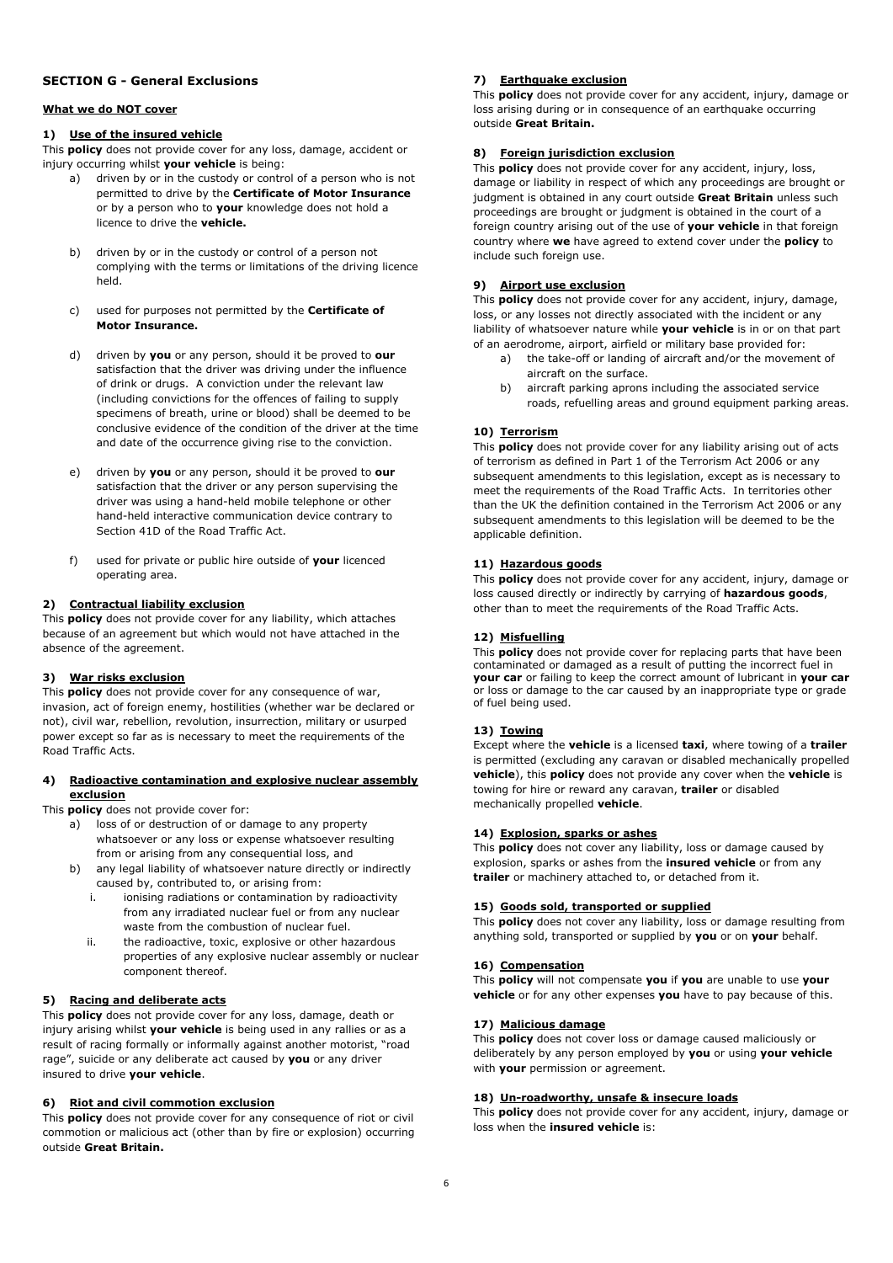## **SECTION G - General Exclusions**

## **What we do NOT cover**

#### **1) Use of the insured vehicle**

This **policy** does not provide cover for any loss, damage, accident or injury occurring whilst **your vehicle** is being:

- a) driven by or in the custody or control of a person who is not permitted to drive by the **Certificate of Motor Insurance** or by a person who to **your** knowledge does not hold a licence to drive the **vehicle.**
- b) driven by or in the custody or control of a person not complying with the terms or limitations of the driving licence held.
- used for purposes not permitted by the **Certificate of Motor Insurance.**
- d) driven by **you** or any person, should it be proved to **our** satisfaction that the driver was driving under the influence of drink or drugs. A conviction under the relevant law (including convictions for the offences of failing to supply specimens of breath, urine or blood) shall be deemed to be conclusive evidence of the condition of the driver at the time and date of the occurrence giving rise to the conviction.
- e) driven by **you** or any person, should it be proved to **our** satisfaction that the driver or any person supervising the driver was using a hand-held mobile telephone or other hand-held interactive communication device contrary to Section 41D of the Road Traffic Act.
- f) used for private or public hire outside of **your** licenced operating area.

#### **2) Contractual liability exclusion**

This **policy** does not provide cover for any liability, which attaches because of an agreement but which would not have attached in the absence of the agreement.

#### **3) War risks exclusion**

This **policy** does not provide cover for any consequence of war, invasion, act of foreign enemy, hostilities (whether war be declared or not), civil war, rebellion, revolution, insurrection, military or usurped power except so far as is necessary to meet the requirements of the .<br>Road Traffic Acts.

## **4) Radioactive contamination and explosive nuclear assembly exclusion**

This **policy** does not provide cover for:

- a) loss of or destruction of or damage to any property whatsoever or any loss or expense whatsoever resulting from or arising from any consequential loss, and
- b) any legal liability of whatsoever nature directly or indirectly caused by, contributed to, or arising from:
	- i. ionising radiations or contamination by radioactivity from any irradiated nuclear fuel or from any nuclear waste from the combustion of nuclear fuel.
	- ii. the radioactive, toxic, explosive or other hazardous properties of any explosive nuclear assembly or nuclear component thereof.

#### **5) Racing and deliberate acts**

This **policy** does not provide cover for any loss, damage, death or injury arising whilst **your vehicle** is being used in any rallies or as a result of racing formally or informally against another motorist, "road rage", suicide or any deliberate act caused by **you** or any driver insured to drive **your vehicle**.

## **6) Riot and civil commotion exclusion**

This **policy** does not provide cover for any consequence of riot or civil commotion or malicious act (other than by fire or explosion) occurring outside **Great Britain.**

## **7) Earthquake exclusion**

This **policy** does not provide cover for any accident, injury, damage or loss arising during or in consequence of an earthquake occurring outside **Great Britain.**

## **8) Foreign jurisdiction exclusion**

This **policy** does not provide cover for any accident, injury, loss, damage or liability in respect of which any proceedings are brought or judgment is obtained in any court outside **Great Britain** unless such proceedings are brought or judgment is obtained in the court of a foreign country arising out of the use of **your vehicle** in that foreign country where **we** have agreed to extend cover under the **policy** to include such foreign use.

## **9) Airport use exclusion**

This **policy** does not provide cover for any accident, injury, damage, loss, or any losses not directly associated with the incident or any liability of whatsoever nature while **your vehicle** is in or on that part of an aerodrome, airport, airfield or military base provided for:

- a) the take-off or landing of aircraft and/or the movement of aircraft on the surface.
- b) aircraft parking aprons including the associated service roads, refuelling areas and ground equipment parking areas.

#### **10) Terrorism**

This **policy** does not provide cover for any liability arising out of acts of terrorism as defined in Part 1 of the Terrorism Act 2006 or any subsequent amendments to this legislation, except as is necessary to meet the requirements of the Road Traffic Acts. In territories other than the UK the definition contained in the Terrorism Act 2006 or any subsequent amendments to this legislation will be deemed to be the applicable definition.

## **11) Hazardous goods**

This **policy** does not provide cover for any accident, injury, damage or loss caused directly or indirectly by carrying of **hazardous goods**, other than to meet the requirements of the Road Traffic Acts.

## **12) Misfuelling**

This **policy** does not provide cover for replacing parts that have been contaminated or damaged as a result of putting the incorrect fuel in **your car** or failing to keep the correct amount of lubricant in **your car** or loss or damage to the car caused by an inappropriate type or grade of fuel being used.

#### **13) Towing**

Except where the **vehicle** is a licensed **taxi**, where towing of a **trailer** is permitted (excluding any caravan or disabled mechanically propelled **vehicle**), this **policy** does not provide any cover when the **vehicle** is towing for hire or reward any caravan, **trailer** or disabled mechanically propelled **vehicle**.

#### **14) Explosion, sparks or ashes**

This **policy** does not cover any liability, loss or damage caused by explosion, sparks or ashes from the **insured vehicle** or from any **trailer** or machinery attached to, or detached from it.

#### **15) Goods sold, transported or supplied**

This **policy** does not cover any liability, loss or damage resulting from anything sold, transported or supplied by **you** or on **your** behalf.

#### **16) Compensation**

This **policy** will not compensate **you** if **you** are unable to use **your vehicle** or for any other expenses **you** have to pay because of this.

#### **17) Malicious damage**

This **policy** does not cover loss or damage caused maliciously or deliberately by any person employed by **you** or using **your vehicle** with **your** permission or agreement.

#### **18) Un-roadworthy, unsafe & insecure loads**

This **policy** does not provide cover for any accident, injury, damage or loss when the **insured vehicle** is: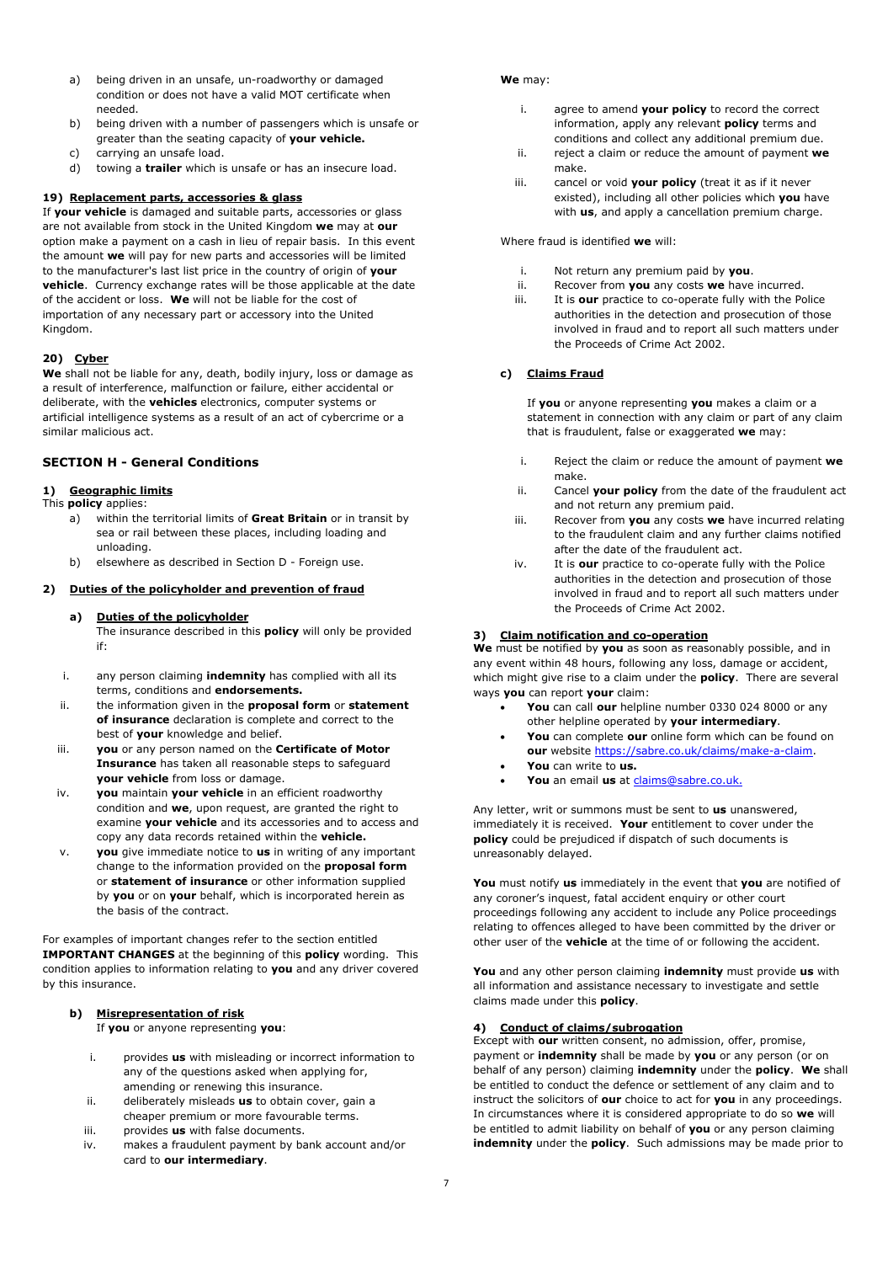- a) being driven in an unsafe, un-roadworthy or damaged condition or does not have a valid MOT certificate when needed.
- b) being driven with a number of passengers which is unsafe or greater than the seating capacity of **your vehicle.**
- c) carrying an unsafe load.
- d) towing a **trailer** which is unsafe or has an insecure load.

#### **19) Replacement parts, accessories & glass**

If **your vehicle** is damaged and suitable parts, accessories or glass are not available from stock in the United Kingdom **we** may at **our** option make a payment on a cash in lieu of repair basis. In this event the amount **we** will pay for new parts and accessories will be limited to the manufacturer's last list price in the country of origin of **your vehicle**. Currency exchange rates will be those applicable at the date of the accident or loss. **We** will not be liable for the cost of importation of any necessary part or accessory into the United Kingdom.

## **20) Cyber**

**We** shall not be liable for any, death, bodily injury, loss or damage as a result of interference, malfunction or failure, either accidental or deliberate, with the **vehicles** electronics, computer systems or artificial intelligence systems as a result of an act of cybercrime or a similar malicious act.

## **SECTION H - General Conditions**

## **1) Geographic limits**

- This **policy** applies: a) within the territorial limits of **Great Britain** or in transit by sea or rail between these places, including loading and unloading.
	- b) elsewhere as described in Section D Foreign use.

#### **2) Duties of the policyholder and prevention of fraud**

#### **a) Duties of the policyholder**

The insurance described in this **policy** will only be provided if:

- i. any person claiming **indemnity** has complied with all its terms, conditions and **endorsements.**
- ii. the information given in the **proposal form** or **statement of insurance** declaration is complete and correct to the best of **your** knowledge and belief.
- iii. **you** or any person named on the **Certificate of Motor Insurance** has taken all reasonable steps to safeguard **your vehicle** from loss or damage.
- iv. **you** maintain **your vehicle** in an efficient roadworthy condition and **we**, upon request, are granted the right to examine **your vehicle** and its accessories and to access and copy any data records retained within the **vehicle.**
- v. **you** give immediate notice to **us** in writing of any important change to the information provided on the **proposal form**  or **statement of insurance** or other information supplied by **you** or on **your** behalf, which is incorporated herein as the basis of the contract.

For examples of important changes refer to the section entitled **IMPORTANT CHANGES** at the beginning of this **policy** wording. This condition applies to information relating to **you** and any driver covered by this insurance.

#### **b) Misrepresentation of risk**

If **you** or anyone representing **you**:

- i. provides **us** with misleading or incorrect information to any of the questions asked when applying for, amending or renewing this insurance.
- ii. deliberately misleads **us** to obtain cover, gain a cheaper premium or more favourable terms.
- iii. provides **us** with false documents.
- iv. makes a fraudulent payment by bank account and/or card to **our intermediary**.

#### **We** may:

- i. agree to amend **your policy** to record the correct information, apply any relevant **policy** terms and conditions and collect any additional premium due.
- ii. reject a claim or reduce the amount of payment **we** make.
- iii. cancel or void **your policy** (treat it as if it never existed), including all other policies which **you** have with **us**, and apply a cancellation premium charge.

Where fraud is identified **we** will:

- i. Not return any premium paid by **you**.
- ii. Recover from **you** any costs **we** have incurred. iii. It is **our** practice to co-operate fully with the Police authorities in the detection and prosecution of those involved in fraud and to report all such matters under the Proceeds of Crime Act 2002.

## **c) Claims Fraud**

If **you** or anyone representing **you** makes a claim or a statement in connection with any claim or part of any claim that is fraudulent, false or exaggerated **we** may:

- i. Reject the claim or reduce the amount of payment **we** make.
- ii. Cancel **your policy** from the date of the fraudulent act and not return any premium paid.
- iii. Recover from **you** any costs **we** have incurred relating to the fraudulent claim and any further claims notified after the date of the fraudulent act.
- iv. It is **our** practice to co-operate fully with the Police authorities in the detection and prosecution of those involved in fraud and to report all such matters under the Proceeds of Crime Act 2002.

#### **3) Claim notification and co-operation**

**We** must be notified by **you** as soon as reasonably possible, and in any event within 48 hours, following any loss, damage or accident, which might give rise to a claim under the **policy**. There are several ways **you** can report **your** claim:

- **You** can call **our** helpline number 0330 024 8000 or any other helpline operated by **your intermediary**.
- **You** can complete **our** online form which can be found on **our** website https://sabre.co.uk/claims/make-a-claim.
- **You** can write to **us.**
- **You** an email **us** at claims@sabre.co.uk.

Any letter, writ or summons must be sent to **us** unanswered, immediately it is received. **Your** entitlement to cover under the **policy** could be prejudiced if dispatch of such documents is unreasonably delayed.

**You** must notify **us** immediately in the event that **you** are notified of any coroner's inquest, fatal accident enquiry or other court proceedings following any accident to include any Police proceedings relating to offences alleged to have been committed by the driver or other user of the **vehicle** at the time of or following the accident.

**You** and any other person claiming **indemnity** must provide **us** with all information and assistance necessary to investigate and settle claims made under this **policy**.

## **4) Conduct of claims/subrogation**

Except with **our** written consent, no admission, offer, promise, payment or **indemnity** shall be made by **you** or any person (or on behalf of any person) claiming **indemnity** under the **policy**. **We** shall be entitled to conduct the defence or settlement of any claim and to instruct the solicitors of **our** choice to act for **you** in any proceedings. In circumstances where it is considered appropriate to do so **we** will be entitled to admit liability on behalf of **you** or any person claiming **indemnity** under the **policy**. Such admissions may be made prior to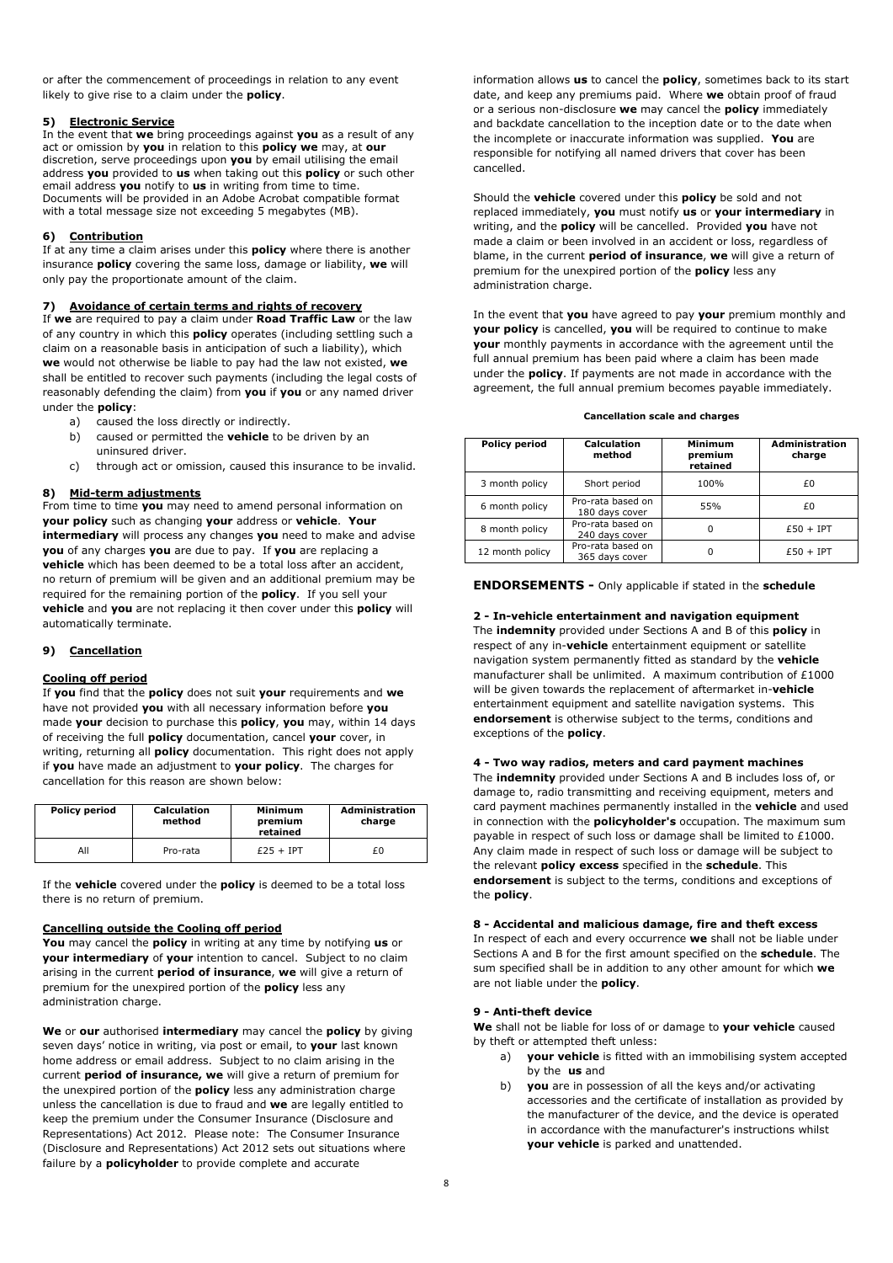or after the commencement of proceedings in relation to any event likely to give rise to a claim under the **policy**.

## **5) Electronic Service**

In the event that **we** bring proceedings against **you** as a result of any act or omission by **you** in relation to this **policy we** may, at **our** discretion, serve proceedings upon **you** by email utilising the email address **you** provided to **us** when taking out this **policy** or such other email address **you** notify to **us** in writing from time to time. Documents will be provided in an Adobe Acrobat compatible format with a total message size not exceeding 5 megabytes (MB).

#### **6) Contribution**

If at any time a claim arises under this **policy** where there is another insurance **policy** covering the same loss, damage or liability, **we** will only pay the proportionate amount of the claim.

## **7) Avoidance of certain terms and rights of recovery**

If **we** are required to pay a claim under **Road Traffic Law** or the law of any country in which this **policy** operates (including settling such a claim on a reasonable basis in anticipation of such a liability), which **we** would not otherwise be liable to pay had the law not existed, **we** shall be entitled to recover such payments (including the legal costs of reasonably defending the claim) from **you** if **you** or any named driver under the **policy**:

- a) caused the loss directly or indirectly.
- b) caused or permitted the **vehicle** to be driven by an uninsured driver.
- c) through act or omission, caused this insurance to be invalid.

#### **8) Mid-term adjustments**

From time to time **you** may need to amend personal information on **your policy** such as changing **your** address or **vehicle**. **Your intermediary** will process any changes **you** need to make and advise **you** of any charges **you** are due to pay. If **you** are replacing a **vehicle** which has been deemed to be a total loss after an accident, no return of premium will be given and an additional premium may be required for the remaining portion of the **policy**. If you sell your **vehicle** and **you** are not replacing it then cover under this **policy** will automatically terminate.

## **9) Cancellation**

### **Cooling off period**

If **you** find that the **policy** does not suit **your** requirements and **we** have not provided **you** with all necessary information before **you** made **your** decision to purchase this **policy**, **you** may, within 14 days of receiving the full **policy** documentation, cancel **your** cover, in writing, returning all **policy** documentation. This right does not apply if **you** have made an adjustment to **your policy**. The charges for cancellation for this reason are shown below:

| <b>Policy period</b> | <b>Calculation</b><br>method | <b>Minimum</b><br>premium<br>retained | <b>Administration</b><br>charge |
|----------------------|------------------------------|---------------------------------------|---------------------------------|
| All                  | Pro-rata                     | $£25 + IPT$                           | £0                              |

If the **vehicle** covered under the **policy** is deemed to be a total loss there is no return of premium.

#### **Cancelling outside the Cooling off period**

**You** may cancel the **policy** in writing at any time by notifying **us** or **your intermediary** of **your** intention to cancel. Subject to no claim arising in the current **period of insurance**, **we** will give a return of premium for the unexpired portion of the **policy** less any administration charge.

**We** or **our** authorised **intermediary** may cancel the **policy** by giving seven days' notice in writing, via post or email, to **your** last known home address or email address. Subject to no claim arising in the current **period of insurance, we** will give a return of premium for the unexpired portion of the **policy** less any administration charge unless the cancellation is due to fraud and **we** are legally entitled to keep the premium under the Consumer Insurance (Disclosure and Representations) Act 2012. Please note: The Consumer Insurance (Disclosure and Representations) Act 2012 sets out situations where failure by a **policyholder** to provide complete and accurate

information allows **us** to cancel the **policy**, sometimes back to its start date, and keep any premiums paid. Where **we** obtain proof of fraud or a serious non-disclosure **we** may cancel the **policy** immediately and backdate cancellation to the inception date or to the date when the incomplete or inaccurate information was supplied. **You** are responsible for notifying all named drivers that cover has been cancelled.

Should the **vehicle** covered under this **policy** be sold and not replaced immediately, **you** must notify **us** or **your intermediary** in writing, and the **policy** will be cancelled. Provided **you** have not made a claim or been involved in an accident or loss, regardless of blame, in the current **period of insurance**, **we** will give a return of premium for the unexpired portion of the **policy** less any administration charge.

In the event that **you** have agreed to pay **your** premium monthly and **your policy** is cancelled, **you** will be required to continue to make **your** monthly payments in accordance with the agreement until the full annual premium has been paid where a claim has been made under the **policy**. If payments are not made in accordance with the agreement, the full annual premium becomes payable immediately.

#### **Cancellation scale and charges**

| <b>Policy period</b> | Calculation<br>method               | Minimum<br>premium<br>retained | <b>Administration</b><br>charge |
|----------------------|-------------------------------------|--------------------------------|---------------------------------|
| 3 month policy       | Short period                        | 100%                           | £0                              |
| 6 month policy       | Pro-rata based on<br>180 days cover | 55%                            | £0                              |
| 8 month policy       | Pro-rata based on<br>240 days cover | 0                              | $£50 + IPT$                     |
| 12 month policy      | Pro-rata based on<br>365 days cover | 0                              | $£50 + IPT$                     |

**ENDORSEMENTS -** Only applicable if stated in the **schedule** 

**2 - In-vehicle entertainment and navigation equipment**  The **indemnity** provided under Sections A and B of this **policy** in respect of any in-**vehicle** entertainment equipment or satellite navigation system permanently fitted as standard by the **vehicle** manufacturer shall be unlimited. A maximum contribution of £1000 will be given towards the replacement of aftermarket in-**vehicle** entertainment equipment and satellite navigation systems. This **endorsement** is otherwise subject to the terms, conditions and exceptions of the **policy**.

#### **4 - Two way radios, meters and card payment machines**

The **indemnity** provided under Sections A and B includes loss of, or damage to, radio transmitting and receiving equipment, meters and card payment machines permanently installed in the **vehicle** and used in connection with the **policyholder's** occupation. The maximum sum payable in respect of such loss or damage shall be limited to £1000. Any claim made in respect of such loss or damage will be subject to the relevant **policy excess** specified in the **schedule**. This **endorsement** is subject to the terms, conditions and exceptions of the **policy**.

#### **8 - Accidental and malicious damage, fire and theft excess**

In respect of each and every occurrence **we** shall not be liable under Sections A and B for the first amount specified on the **schedule**. The sum specified shall be in addition to any other amount for which **we** are not liable under the **policy**.

#### **9 - Anti-theft device**

**We** shall not be liable for loss of or damage to **your vehicle** caused by theft or attempted theft unless:

- a) **your vehicle** is fitted with an immobilising system accepted by the **us** and
- b) **you** are in possession of all the keys and/or activating accessories and the certificate of installation as provided by the manufacturer of the device, and the device is operated in accordance with the manufacturer's instructions whilst **your vehicle** is parked and unattended.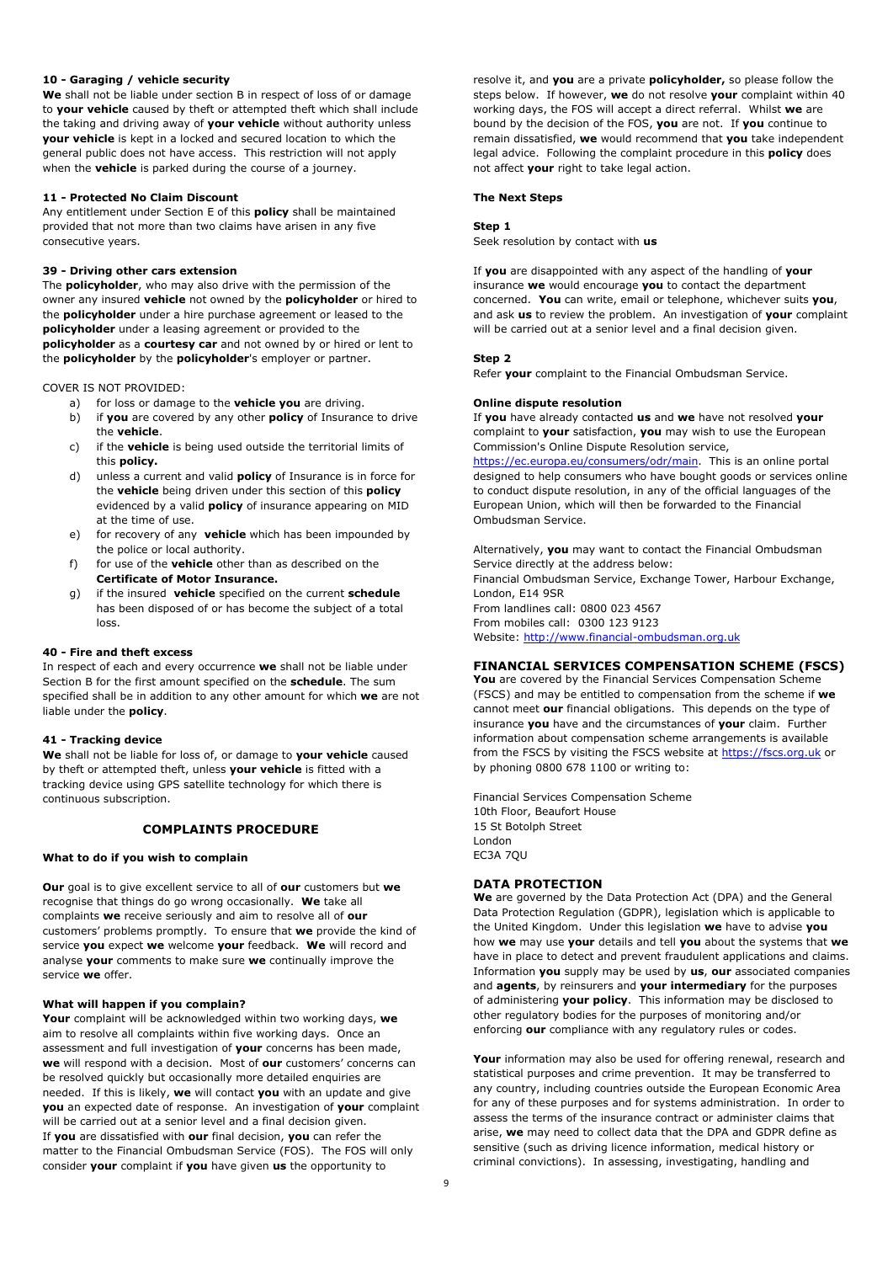#### **10 - Garaging / vehicle security**

**We** shall not be liable under section B in respect of loss of or damage to **your vehicle** caused by theft or attempted theft which shall include the taking and driving away of **your vehicle** without authority unless **your vehicle** is kept in a locked and secured location to which the general public does not have access. This restriction will not apply when the **vehicle** is parked during the course of a journey.

#### **11 - Protected No Claim Discount**

Any entitlement under Section E of this **policy** shall be maintained provided that not more than two claims have arisen in any five consecutive years.

#### **39 - Driving other cars extension**

The **policyholder**, who may also drive with the permission of the owner any insured **vehicle** not owned by the **policyholder** or hired to the **policyholder** under a hire purchase agreement or leased to the **policyholder** under a leasing agreement or provided to the **policyholder** as a **courtesy car** and not owned by or hired or lent to the **policyholder** by the **policyholder**'s employer or partner.

COVER IS NOT PROVIDED:

- a) for loss or damage to the **vehicle you** are driving.
- b) if **you** are covered by any other **policy** of Insurance to drive the **vehicle**.
- c) if the **vehicle** is being used outside the territorial limits of this **policy.**
- d) unless a current and valid **policy** of Insurance is in force for the **vehicle** being driven under this section of this **policy** evidenced by a valid **policy** of insurance appearing on MID at the time of use.
- e) for recovery of any **vehicle** which has been impounded by the police or local authority.
- for use of the **vehicle** other than as described on the **Certificate of Motor Insurance.**
- g) if the insured **vehicle** specified on the current **schedule** has been disposed of or has become the subject of a total loss.

#### **40 - Fire and theft excess**

In respect of each and every occurrence **we** shall not be liable under Section B for the first amount specified on the **schedule**. The sum specified shall be in addition to any other amount for which **we** are not liable under the **policy**.

#### **41 - Tracking device**

**We** shall not be liable for loss of, or damage to **your vehicle** caused by theft or attempted theft, unless **your vehicle** is fitted with a tracking device using GPS satellite technology for which there is continuous subscription.

## **COMPLAINTS PROCEDURE**

#### **What to do if you wish to complain**

**Our** goal is to give excellent service to all of **our** customers but **we** recognise that things do go wrong occasionally. **We** take all complaints **we** receive seriously and aim to resolve all of **our** customers' problems promptly. To ensure that **we** provide the kind of service **you** expect **we** welcome **your** feedback. **We** will record and analyse **your** comments to make sure **we** continually improve the service **we** offer.

#### **What will happen if you complain?**

**Your** complaint will be acknowledged within two working days, **we** aim to resolve all complaints within five working days. Once an assessment and full investigation of **your** concerns has been made, **we** will respond with a decision. Most of **our** customers' concerns can be resolved quickly but occasionally more detailed enquiries are needed. If this is likely, **we** will contact **you** with an update and give **you** an expected date of response. An investigation of **your** complaint will be carried out at a senior level and a final decision given. If **you** are dissatisfied with **our** final decision, **you** can refer the matter to the Financial Ombudsman Service (FOS). The FOS will only consider **your** complaint if **you** have given **us** the opportunity to

resolve it, and **you** are a private **policyholder,** so please follow the steps below. If however, **we** do not resolve **your** complaint within 40 working days, the FOS will accept a direct referral. Whilst **we** are bound by the decision of the FOS, **you** are not. If **you** continue to remain dissatisfied, **we** would recommend that **you** take independent legal advice. Following the complaint procedure in this **policy** does not affect **your** right to take legal action.

#### **The Next Steps**

#### **Step 1**

Seek resolution by contact with **us**

If **you** are disappointed with any aspect of the handling of **your** insurance **we** would encourage **you** to contact the department concerned. **You** can write, email or telephone, whichever suits **you**, and ask **us** to review the problem. An investigation of **your** complaint will be carried out at a senior level and a final decision given.

#### **Step 2**

Refer **your** complaint to the Financial Ombudsman Service.

#### **Online dispute resolution**

If **you** have already contacted **us** and **we** have not resolved **your** complaint to **your** satisfaction, **you** may wish to use the European Commission's Online Dispute Resolution service,

https://ec.europa.eu/consumers/odr/main. This is an online portal designed to help consumers who have bought goods or services online to conduct dispute resolution, in any of the official languages of the European Union, which will then be forwarded to the Financial Ombudsman Service.

Alternatively, **you** may want to contact the Financial Ombudsman Service directly at the address below: Financial Ombudsman Service, Exchange Tower, Harbour Exchange, London, E14 9SR From landlines call: 0800 023 4567 From mobiles call: 0300 123 9123 Website: http://www.financial-ombudsman.org.uk

## **FINANCIAL SERVICES COMPENSATION SCHEME (FSCS)**

**You** are covered by the Financial Services Compensation Scheme (FSCS) and may be entitled to compensation from the scheme if **we** cannot meet **our** financial obligations. This depends on the type of insurance **you** have and the circumstances of **your** claim. Further information about compensation scheme arrangements is available from the FSCS by visiting the FSCS website at https://fscs.org.uk or by phoning 0800 678 1100 or writing to:

Financial Services Compensation Scheme 10th Floor, Beaufort House 15 St Botolph Street London EC3A 7QU

## **DATA PROTECTION**

**We** are governed by the Data Protection Act (DPA) and the General Data Protection Regulation (GDPR), legislation which is applicable to the United Kingdom. Under this legislation **we** have to advise **you** how **we** may use **your** details and tell **you** about the systems that **we** have in place to detect and prevent fraudulent applications and claims. Information **you** supply may be used by **us**, **our** associated companies and **agents**, by reinsurers and **your intermediary** for the purposes of administering **your policy**. This information may be disclosed to other regulatory bodies for the purposes of monitoring and/or enforcing **our** compliance with any regulatory rules or codes.

**Your** information may also be used for offering renewal, research and statistical purposes and crime prevention. It may be transferred to any country, including countries outside the European Economic Area for any of these purposes and for systems administration. In order to assess the terms of the insurance contract or administer claims that arise, **we** may need to collect data that the DPA and GDPR define as sensitive (such as driving licence information, medical history or criminal convictions). In assessing, investigating, handling and